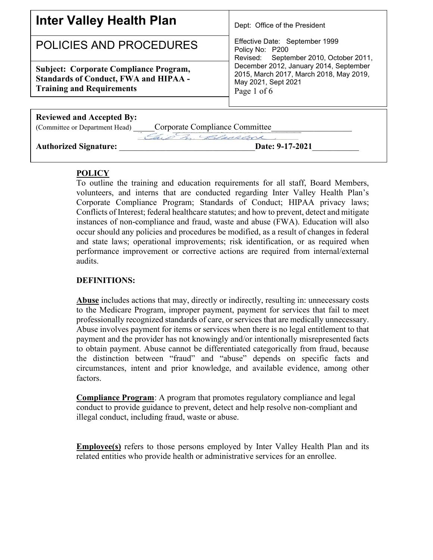| Inter Valley Health Plan                                                                                                          | Dept: Office of the President                                                                                           |
|-----------------------------------------------------------------------------------------------------------------------------------|-------------------------------------------------------------------------------------------------------------------------|
| POLICIES AND PROCEDURES                                                                                                           | Effective Date: September 1999<br>Policy No: P200<br>Revised: September 2010, October 2011,                             |
| <b>Subject: Corporate Compliance Program,</b><br><b>Standards of Conduct, FWA and HIPAA -</b><br><b>Training and Requirements</b> | December 2012, January 2014, September<br>2015, March 2017, March 2018, May 2019,<br>May 2021, Sept 2021<br>Page 1 of 6 |
| <b>Reviewed and Accepted By:</b>                                                                                                  |                                                                                                                         |
| Corporate Compliance Committee<br>(Committee or Department Head)                                                                  |                                                                                                                         |
| Chip Z. Blackcock<br><b>Authorized Signature:</b>                                                                                 | Date: 9-17-2021                                                                                                         |

# **POLICY**

To outline the training and education requirements for all staff, Board Members, volunteers, and interns that are conducted regarding Inter Valley Health Plan's Corporate Compliance Program; Standards of Conduct; HIPAA privacy laws; Conflicts of Interest; federal healthcare statutes; and how to prevent, detect and mitigate instances of non-compliance and fraud, waste and abuse (FWA). Education will also occur should any policies and procedures be modified, as a result of changes in federal and state laws; operational improvements; risk identification, or as required when performance improvement or corrective actions are required from internal/external audits.

#### **DEFINITIONS:**

**Abuse** includes actions that may, directly or indirectly, resulting in: unnecessary costs to the Medicare Program, improper payment, payment for services that fail to meet professionally recognized standards of care, or services that are medically unnecessary. Abuse involves payment for items or services when there is no legal entitlement to that payment and the provider has not knowingly and/or intentionally misrepresented facts to obtain payment. Abuse cannot be differentiated categorically from fraud, because the distinction between "fraud" and "abuse" depends on specific facts and circumstances, intent and prior knowledge, and available evidence, among other factors.

**Compliance Program**: A program that promotes regulatory compliance and legal conduct to provide guidance to prevent, detect and help resolve non-compliant and illegal conduct, including fraud, waste or abuse.

**Employee(s)** refers to those persons employed by Inter Valley Health Plan and its related entities who provide health or administrative services for an enrollee.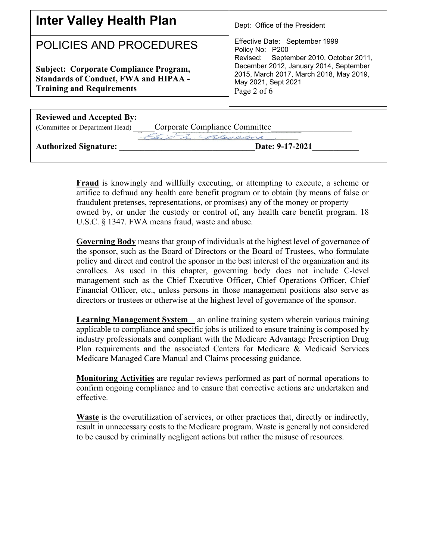| <b>Inter Valley Health Plan</b>                                                                                                   | Dept: Office of the President                                                                                           |  |
|-----------------------------------------------------------------------------------------------------------------------------------|-------------------------------------------------------------------------------------------------------------------------|--|
| POLICIES AND PROCEDURES                                                                                                           | Effective Date: September 1999<br>Policy No: P200<br>Revised: September 2010, October 2011,                             |  |
| <b>Subject: Corporate Compliance Program,</b><br><b>Standards of Conduct, FWA and HIPAA -</b><br><b>Training and Requirements</b> | December 2012, January 2014, September<br>2015, March 2017, March 2018, May 2019,<br>May 2021, Sept 2021<br>Page 2 of 6 |  |
| <b>Reviewed and Accepted By:</b>                                                                                                  |                                                                                                                         |  |
| Corporate Compliance Committee<br>(Committee or Department Head)                                                                  |                                                                                                                         |  |
| Z Blecklock<br><b>Authorized Signature:</b>                                                                                       | Date: 9-17-2021                                                                                                         |  |

**Fraud** is knowingly and willfully executing, or attempting to execute, a scheme or artifice to defraud any health care benefit program or to obtain (by means of false or fraudulent pretenses, representations, or promises) any of the money or property owned by, or under the custody or control of, any health care benefit program. 18 U.S.C. § 1347. FWA means fraud, waste and abuse.

**Governing Body** means that group of individuals at the highest level of governance of the sponsor, such as the Board of Directors or the Board of Trustees, who formulate policy and direct and control the sponsor in the best interest of the organization and its enrollees. As used in this chapter, governing body does not include C-level management such as the Chief Executive Officer, Chief Operations Officer, Chief Financial Officer, etc., unless persons in those management positions also serve as directors or trustees or otherwise at the highest level of governance of the sponsor.

**Learning Management System** – an online training system wherein various training applicable to compliance and specific jobs is utilized to ensure training is composed by industry professionals and compliant with the Medicare Advantage Prescription Drug Plan requirements and the associated Centers for Medicare & Medicaid Services Medicare Managed Care Manual and Claims processing guidance.

**Monitoring Activities** are regular reviews performed as part of normal operations to confirm ongoing compliance and to ensure that corrective actions are undertaken and effective.

**Waste** is the overutilization of services, or other practices that, directly or indirectly, result in unnecessary costs to the Medicare program. Waste is generally not considered to be caused by criminally negligent actions but rather the misuse of resources.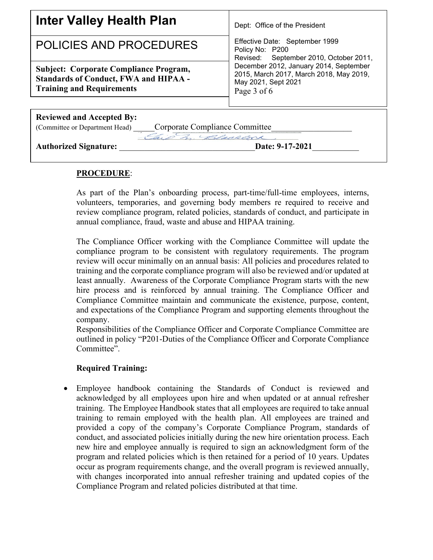| <b>Inter Valley Health Plan</b>                                                                                                   | Dept: Office of the President                                                                                           |  |
|-----------------------------------------------------------------------------------------------------------------------------------|-------------------------------------------------------------------------------------------------------------------------|--|
| POLICIES AND PROCEDURES                                                                                                           | Effective Date: September 1999<br>Policy No: P200<br>Revised: September 2010, October 2011,                             |  |
| <b>Subject: Corporate Compliance Program,</b><br><b>Standards of Conduct, FWA and HIPAA -</b><br><b>Training and Requirements</b> | December 2012, January 2014, September<br>2015, March 2017, March 2018, May 2019,<br>May 2021, Sept 2021<br>Page 3 of 6 |  |
| <b>Reviewed and Accepted By:</b>                                                                                                  |                                                                                                                         |  |
| Corporate Compliance Committee<br>(Committee or Department Head)                                                                  |                                                                                                                         |  |
| G. S. D. Blackcock                                                                                                                |                                                                                                                         |  |
| <b>Authorized Signature:</b>                                                                                                      | Date: 9-17-2021                                                                                                         |  |

#### **PROCEDURE**:

As part of the Plan's onboarding process, part-time/full-time employees, interns, volunteers, temporaries, and governing body members re required to receive and review compliance program, related policies, standards of conduct, and participate in annual compliance, fraud, waste and abuse and HIPAA training.

The Compliance Officer working with the Compliance Committee will update the compliance program to be consistent with regulatory requirements. The program review will occur minimally on an annual basis: All policies and procedures related to training and the corporate compliance program will also be reviewed and/or updated at least annually. Awareness of the Corporate Compliance Program starts with the new hire process and is reinforced by annual training. The Compliance Officer and Compliance Committee maintain and communicate the existence, purpose, content, and expectations of the Compliance Program and supporting elements throughout the company.

Responsibilities of the Compliance Officer and Corporate Compliance Committee are outlined in policy "P201-Duties of the Compliance Officer and Corporate Compliance Committee".

# **Required Training:**

• Employee handbook containing the Standards of Conduct is reviewed and acknowledged by all employees upon hire and when updated or at annual refresher training. The Employee Handbook states that all employees are required to take annual training to remain employed with the health plan. All employees are trained and provided a copy of the company's Corporate Compliance Program, standards of conduct, and associated policies initially during the new hire orientation process. Each new hire and employee annually is required to sign an acknowledgment form of the program and related policies which is then retained for a period of 10 years. Updates occur as program requirements change, and the overall program is reviewed annually, with changes incorporated into annual refresher training and updated copies of the Compliance Program and related policies distributed at that time.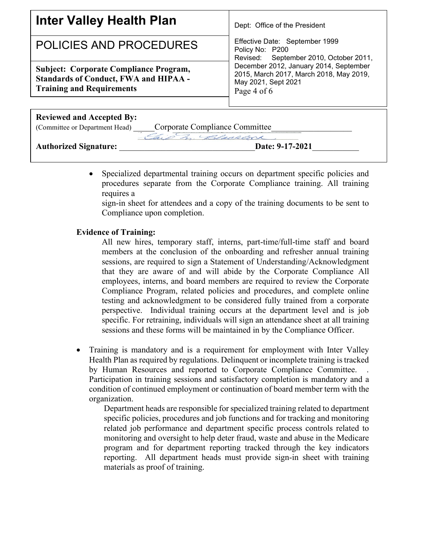| Inter Valley Health Plan                                                                                                          | Dept: Office of the President                                                                                           |  |
|-----------------------------------------------------------------------------------------------------------------------------------|-------------------------------------------------------------------------------------------------------------------------|--|
| POLICIES AND PROCEDURES                                                                                                           | Effective Date: September 1999<br>Policy No: P200<br>Revised: September 2010, October 2011,                             |  |
| <b>Subject: Corporate Compliance Program,</b><br><b>Standards of Conduct, FWA and HIPAA -</b><br><b>Training and Requirements</b> | December 2012, January 2014, September<br>2015, March 2017, March 2018, May 2019,<br>May 2021, Sept 2021<br>Page 4 of 6 |  |
| <b>Reviewed and Accepted By:</b>                                                                                                  |                                                                                                                         |  |
| Corporate Compliance Committee<br>(Committee or Department Head)                                                                  |                                                                                                                         |  |
| 3. Blacklock                                                                                                                      |                                                                                                                         |  |
| <b>Authorized Signature:</b>                                                                                                      | Date: 9-17-2021                                                                                                         |  |

• Specialized departmental training occurs on department specific policies and procedures separate from the Corporate Compliance training. All training requires a

sign-in sheet for attendees and a copy of the training documents to be sent to Compliance upon completion.

#### **Evidence of Training:**

All new hires, temporary staff, interns, part-time/full-time staff and board members at the conclusion of the onboarding and refresher annual training sessions, are required to sign a Statement of Understanding/Acknowledgment that they are aware of and will abide by the Corporate Compliance All employees, interns, and board members are required to review the Corporate Compliance Program, related policies and procedures, and complete online testing and acknowledgment to be considered fully trained from a corporate perspective. Individual training occurs at the department level and is job specific. For retraining, individuals will sign an attendance sheet at all training sessions and these forms will be maintained in by the Compliance Officer.

• Training is mandatory and is a requirement for employment with Inter Valley Health Plan as required by regulations. Delinquent or incomplete training is tracked by Human Resources and reported to Corporate Compliance Committee. Participation in training sessions and satisfactory completion is mandatory and a condition of continued employment or continuation of board member term with the organization.

Department heads are responsible for specialized training related to department specific policies, procedures and job functions and for tracking and monitoring related job performance and department specific process controls related to monitoring and oversight to help deter fraud, waste and abuse in the Medicare program and for department reporting tracked through the key indicators reporting. All department heads must provide sign-in sheet with training materials as proof of training.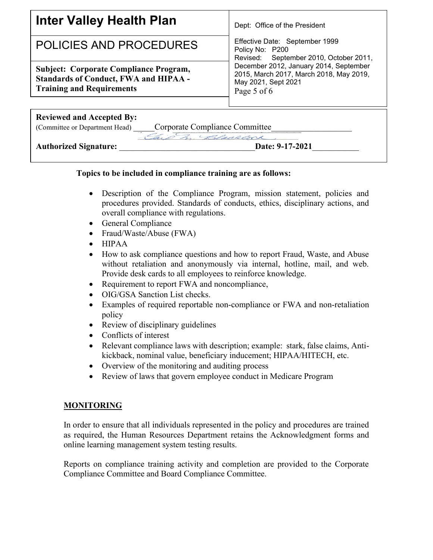| <b>Inter Valley Health Plan</b>                                                                                                   | Dept: Office of the President                                                                                           |  |
|-----------------------------------------------------------------------------------------------------------------------------------|-------------------------------------------------------------------------------------------------------------------------|--|
| POLICIES AND PROCEDURES                                                                                                           | Effective Date: September 1999<br>Policy No: P200<br>Revised: September 2010, October 2011,                             |  |
| <b>Subject: Corporate Compliance Program,</b><br><b>Standards of Conduct, FWA and HIPAA -</b><br><b>Training and Requirements</b> | December 2012, January 2014, September<br>2015, March 2017, March 2018, May 2019,<br>May 2021, Sept 2021<br>Page 5 of 6 |  |
| <b>Reviewed and Accepted By:</b>                                                                                                  |                                                                                                                         |  |
| Corporate Compliance Committee_<br>(Committee or Department Head)                                                                 |                                                                                                                         |  |
| Gio m Blackcock                                                                                                                   |                                                                                                                         |  |
| <b>Authorized Signature:</b>                                                                                                      | Date: 9-17-2021                                                                                                         |  |

### **Topics to be included in compliance training are as follows:**

- Description of the Compliance Program, mission statement, policies and procedures provided. Standards of conducts, ethics, disciplinary actions, and overall compliance with regulations.
- General Compliance
- Fraud/Waste/Abuse (FWA)
- HIPAA
- How to ask compliance questions and how to report Fraud, Waste, and Abuse without retaliation and anonymously via internal, hotline, mail, and web. Provide desk cards to all employees to reinforce knowledge.
- Requirement to report FWA and noncompliance,
- OIG/GSA Sanction List checks.
- Examples of required reportable non-compliance or FWA and non-retaliation policy
- Review of disciplinary guidelines
- Conflicts of interest
- Relevant compliance laws with description; example: stark, false claims, Antikickback, nominal value, beneficiary inducement; HIPAA/HITECH, etc.
- Overview of the monitoring and auditing process
- Review of laws that govern employee conduct in Medicare Program

# **MONITORING**

In order to ensure that all individuals represented in the policy and procedures are trained as required, the Human Resources Department retains the Acknowledgment forms and online learning management system testing results.

Reports on compliance training activity and completion are provided to the Corporate Compliance Committee and Board Compliance Committee.